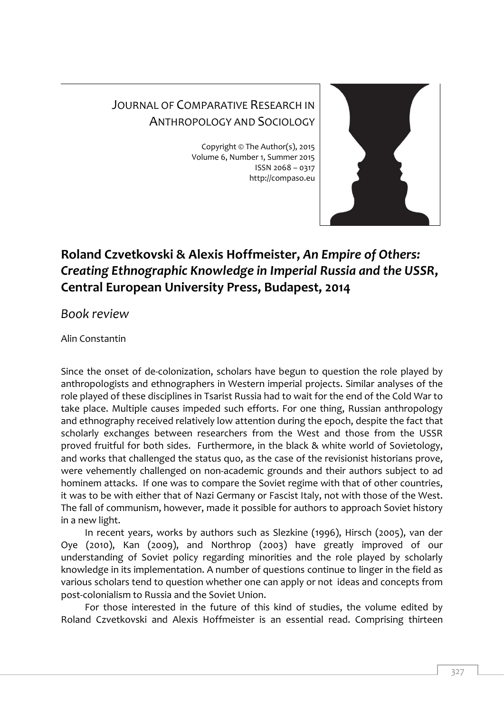## JOURNAL OF COMPARATIVE RESEARCH IN ANTHROPOLOGY AND SOCIOLOGY

Copyright © The Author(s), 2015 Volume 6, Number 1, Summer 2015 ISSN 2068 – 0317 http://compaso.eu



## **Roland Czvetkovski & Alexis Hoffmeister,** *An Empire of Others: Creating Ethnographic Knowledge in Imperial Russia and the USSR***, Central European University Press, Budapest, 2014**

*Book review*

Alin Constantin

Since the onset of de-colonization, scholars have begun to question the role played by anthropologists and ethnographers in Western imperial projects. Similar analyses of the role played of these disciplines in Tsarist Russia had to wait for the end of the Cold War to take place. Multiple causes impeded such efforts. For one thing, Russian anthropology and ethnography received relatively low attention during the epoch, despite the fact that scholarly exchanges between researchers from the West and those from the USSR proved fruitful for both sides. Furthermore, in the black & white world of Sovietology, and works that challenged the status quo, as the case of the revisionist historians prove, were vehemently challenged on non-academic grounds and their authors subject to ad hominem attacks. If one was to compare the Soviet regime with that of other countries, it was to be with either that of Nazi Germany or Fascist Italy, not with those of the West. The fall of communism, however, made it possible for authors to approach Soviet history in a new light.

In recent years, works by authors such as Slezkine (1996), Hirsch (2005), van der Oye (2010), Kan (2009), and Northrop (2003) have greatly improved of our understanding of Soviet policy regarding minorities and the role played by scholarly knowledge in its implementation. A number of questions continue to linger in the field as various scholars tend to question whether one can apply or not ideas and concepts from post-colonialism to Russia and the Soviet Union.

For those interested in the future of this kind of studies, the volume edited by Roland Czvetkovski and Alexis Hoffmeister is an essential read. Comprising thirteen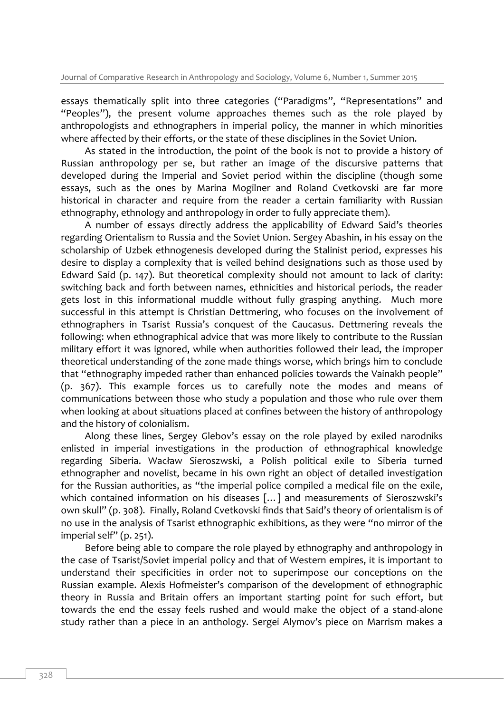essays thematically split into three categories ("Paradigms", "Representations" and "Peoples"), the present volume approaches themes such as the role played by anthropologists and ethnographers in imperial policy, the manner in which minorities where affected by their efforts, or the state of these disciplines in the Soviet Union.

As stated in the introduction, the point of the book is not to provide a history of Russian anthropology per se, but rather an image of the discursive patterns that developed during the Imperial and Soviet period within the discipline (though some essays, such as the ones by Marina Mogilner and Roland Cvetkovski are far more historical in character and require from the reader a certain familiarity with Russian ethnography, ethnology and anthropology in order to fully appreciate them).

A number of essays directly address the applicability of Edward Said's theories regarding Orientalism to Russia and the Soviet Union. Sergey Abashin, in his essay on the scholarship of Uzbek ethnogenesis developed during the Stalinist period, expresses his desire to display a complexity that is veiled behind designations such as those used by Edward Said (p. 147). But theoretical complexity should not amount to lack of clarity: switching back and forth between names, ethnicities and historical periods, the reader gets lost in this informational muddle without fully grasping anything. Much more successful in this attempt is Christian Dettmering, who focuses on the involvement of ethnographers in Tsarist Russia's conquest of the Caucasus. Dettmering reveals the following: when ethnographical advice that was more likely to contribute to the Russian military effort it was ignored, while when authorities followed their lead, the improper theoretical understanding of the zone made things worse, which brings him to conclude that "ethnography impeded rather than enhanced policies towards the Vainakh people" (p. 367). This example forces us to carefully note the modes and means of communications between those who study a population and those who rule over them when looking at about situations placed at confines between the history of anthropology and the history of colonialism.

Along these lines, Sergey Glebov's essay on the role played by exiled narodniks enlisted in imperial investigations in the production of ethnographical knowledge regarding Siberia. Wacław Sieroszwski, a Polish political exile to Siberia turned ethnographer and novelist, became in his own right an object of detailed investigation for the Russian authorities, as "the imperial police compiled a medical file on the exile, which contained information on his diseases [...] and measurements of Sieroszwski's own skull" (p. 308). Finally, Roland Cvetkovski finds that Said's theory of orientalism is of no use in the analysis of Tsarist ethnographic exhibitions, as they were "no mirror of the imperial self" (p. 251).

Before being able to compare the role played by ethnography and anthropology in the case of Tsarist/Soviet imperial policy and that of Western empires, it is important to understand their specificities in order not to superimpose our conceptions on the Russian example. Alexis Hofmeister's comparison of the development of ethnographic theory in Russia and Britain offers an important starting point for such effort, but towards the end the essay feels rushed and would make the object of a stand-alone study rather than a piece in an anthology. Sergei Alymov's piece on Marrism makes a